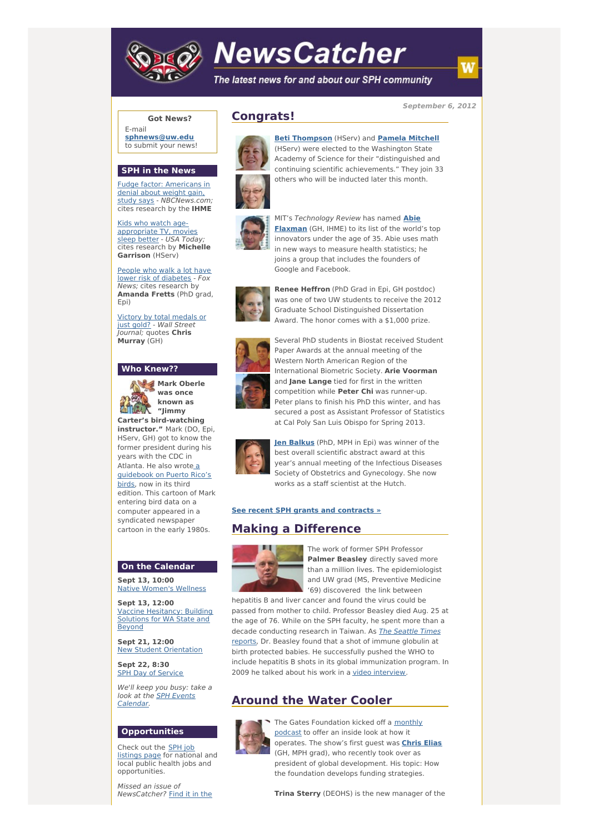

# **NewsCatcher**

The latest news for and about our SPH community

**September 6, 2012**

## **Got News?**

E-mail **[sphnews@uw.edu](mailto:sphnews@uw.edu)** to submit your news!

#### **SPH in the News**

Fudge factor: Americans in denial about weight gain, study says - [NBCNews.com](http://engage.washington.edu/site/R?i=MSyhWwlcRtBUrXu5bG5oLA); cites research by the **IHME**

Kids who watch age[appropriate](http://engage.washington.edu/site/R?i=9R-SKHJK_oC-MSkjQ71meQ) TV, movies sleep better - USA Today; cites research by **Michelle** Garrison (HServ)

People who walk a lot have lower risk of [diabetes](http://engage.washington.edu/site/R?i=VoALrd0jjTiTnKmjOisLGg) - Fox News; cites research by **Amanda Fretts** (PhD grad, Epi)

Victory by total [medals](http://engage.washington.edu/site/R?i=ep6_Mk0FCuA5wlhW6z0R1g) or just gold? - Wall Street Journal; quotes **Chris Murray** (GH)

### **Who Knew??**



**"Jimmy Carter's bird-watching instructor."** Mark (DO, Epi, HServ, GH) got to know the former president during his years with the CDC in Atlanta. He also wrote a [guidebook](http://engage.washington.edu/site/R?i=PpsbXsQeVJ60SbhYHeUtOg) on Puerto Rico's birds, now in its third edition. This cartoon of Mark entering bird data on a computer appeared in a syndicated newspaper cartoon in the early 1980s.

#### **On the Calendar**

**Sept 13, 10:00** Native [Women's](http://engage.washington.edu/site/R?i=im5adjRiF55AMHvwkcIoLg) Wellness

**Sept 13, 12:00** Vaccine [Hesitancy:](http://engage.washington.edu/site/R?i=1mfLv7kJgz50NtRF5YAA1w) Building Solutions for WA State and Beyond

**Sept 21, 12:00** New Student [Orientation](http://engage.washington.edu/site/R?i=KcSZhfO55_g5NNmztDwD0g)

**Sept 22, 8:30** SPH Day of [Service](http://engage.washington.edu/site/R?i=HfqCbRoIEAFVBldHd3g0Hw)

We'll keep you busy: take a look at the SPH Events [Calendar.](http://engage.washington.edu/site/R?i=laGrOlvB9z1g2ROFL7QR9Q)

## **Opportunities**

Check out the SPH job [listings](http://engage.washington.edu/site/R?i=nL3DYaRDTbCVBe1OSv4rDw) page for national and local public health jobs and opportunities.

Missed an issue of [NewsCatcher?](http://engage.washington.edu/site/R?i=D0H-Ndsa8NaZmN_1E2AVWA) Find it in the

# **Congrats!**



**Beti [Thompson](http://engage.washington.edu/site/R?i=V7nddOBxFtaKOi8Gw1Wg8w)** (HServ) and **Pamela [Mitchell](http://engage.washington.edu/site/R?i=3Y7J42KsXZ3ubvBX5yvV6g)** (HServ) were elected to the Washington State Academy of Science for their "distinguished and continuing scientific achievements." They join 33 others who will be inducted later this month.



MIT's [Technology](http://engage.washington.edu/site/R?i=ENQwgoVJhZxz8xrQZPyg4g) Review has named **Abie Flaxman** (GH, IHME) to its list of the world's top innovators under the age of 35. Abie uses math in new ways to measure health statistics; he joins a group that includes the founders of Google and Facebook.



**Renee Heffron** (PhD Grad in Epi, GH postdoc) was one of two UW students to receive the 2012 Graduate School Distinguished Dissertation Award. The honor comes with a \$1,000 prize.



Several PhD students in Biostat received Student Paper Awards at the annual meeting of the Western North American Region of the International Biometric Society. **Arie Voorman** and **Jane Lange** tied for first in the written competition while **Peter Chi** was runner-up. Peter plans to finish his PhD this winter, and has secured a post as Assistant Professor of Statistics at Cal Poly San Luis Obispo for Spring 2013.



**Jen [Balkus](http://engage.washington.edu/site/R?i=PaA-64vbE5FUhAV4GtgCTA)** (PhD, MPH in Epi) was winner of the best overall scientific abstract award at this year's annual meeting of the Infectious Diseases Society of Obstetrics and Gynecology. She now works as a staff scientist at the Hutch.

#### **See recent SPH grants and [contracts](http://engage.washington.edu/site/R?i=l6013cmcVNVfyvXSbeucUA) »**

# **Making a Difference**



The work of former SPH Professor **Palmer Beasley** directly saved more than a million lives. The epidemiologist and UW grad (MS, Preventive Medicine '69) discovered the link between

hepatitis B and liver cancer and found the virus could be passed from mother to child. Professor Beasley died Aug. 25 at the age of 76. While on the SPH faculty, he spent more than a decade [conducting](http://engage.washington.edu/site/R?i=25TjTXRZKKXZNiu31vgd5A) research in Taiwan. As The Seattle Times reports, Dr. Beasley found that a shot of immune globulin at birth protected babies. He successfully pushed the WHO to include hepatitis B shots in its global immunization program. In 2009 he talked about his work in a video [interview](http://engage.washington.edu/site/R?i=oOasgOGH6QqyCVCm8OCoVA).

# **Around the Water Cooler**



The Gates [Foundation](http://engage.washington.edu/site/R?i=N4Tqi6Loxc1N4-ROql6ewg) kicked off a monthly podcast to offer an inside look at how it operates. The show's first guest was **[Chris](http://engage.washington.edu/site/R?i=jwnXLbqoAv9tLCNvQmAcCQ) Elias** (GH, MPH grad), who recently took over as president of global development. His topic: How the foundation develops funding strategies.

**Trina Sterry** (DEOHS) is the new manager of the